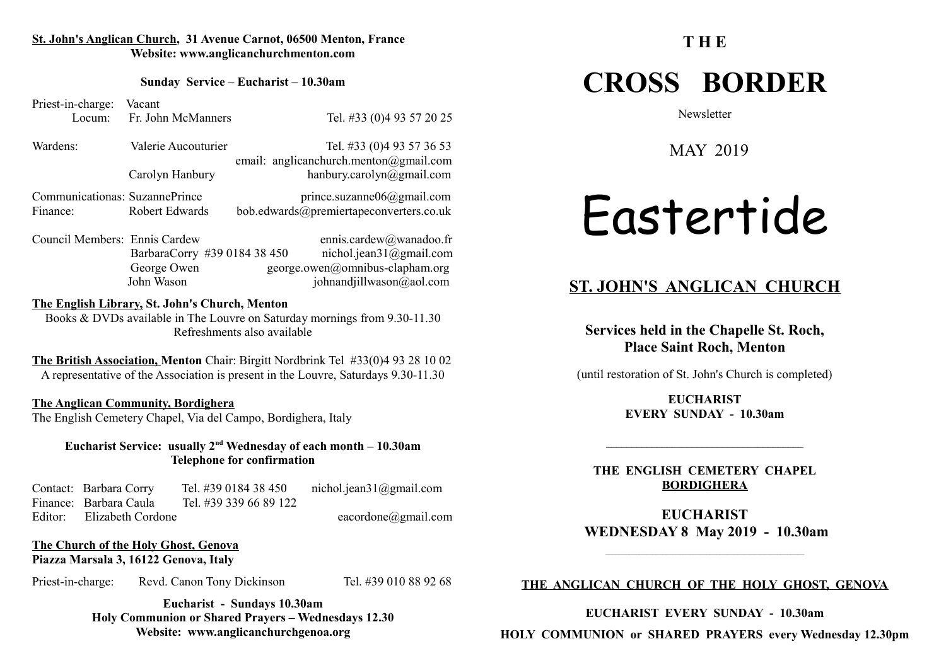#### **St. John's Anglican Church, 31 Avenue Carnot, 06500 Menton, France Website: www.anglicanchurchmenton.com**

**Sunday Service – Eucharist – 10.30am**

Priest-in-charge: Vacant Locum: Fr. John McManners Tel. #33 (0)4 93 57 20 25

Wardens: Valerie Aucouturier Tel. #33 (0)4 93 57 36 53 email: anglicanchurch.menton@gmail.com Carolyn Hanbury hanbury.carolyn@gmail.com

Communicationas: SuzannePrince prince.suzanne06@gmail.com Finance: Robert Edwards bob.edwards@premiertapeconverters.co.uk

Council Members: Ennis Cardew ennis.cardew@wanadoo.fr BarbaraCorry #39 0184 38 450 nichol.jean31@gmail.com George Owen george.owen@omnibus-clapham.org John Wason johnandjillwason@aol.com

#### **The English Library, St. John's Church, Menton**

Books & DVDs available in The Louvre on Saturday mornings from 9.30-11.30 Refreshments also available

**The British Association, Menton** Chair: Birgitt Nordbrink Tel #33(0)4 93 28 10 02 A representative of the Association is present in the Louvre, Saturdays 9.30-11.30

#### **The Anglican Community, Bordighera**

The English Cemetery Chapel, Via del Campo, Bordighera, Italy

**Eucharist Service: usually 2nd Wednesday of each month – 10.30am Telephone for confirmation**

Contact: Barbara Corry Tel. #39 0184 38 450 nichol.jean31@gmail.com Finance: Barbara Caula Tel. #39 339 66 89 122 Editor: Elizabeth Cordone eacordone eacordone eacordone eacordone eacordone eacordone eacordone eacordone eacordone eacordone eacordone eacordone eacordone eacordone eacordone eacordone eacordone eacordone eacordone eacord

**The Church of the Holy Ghost, Genova Piazza Marsala 3, 16122 Genova, Italy** 

Priest-in-charge: Revd. Canon Tony Dickinson Tel. #39 010 88 92 68

**Eucharist - Sundays 10.30am Holy Communion or Shared Prayers – Wednesdays 12.30 Website: www.anglicanchurchgenoa.org**

#### **T H E**

## **CROSS BORDER**

**Newsletter** 

MAY 2019

# Eastertide

#### **ST. JOHN'S ANGLICAN CHURCH**

**Services held in the Chapelle St. Roch, Place Saint Roch, Menton**

(until restoration of St. John's Church is completed)

**EUCHARIST EVERY SUNDAY - 10.30am**

**THE ENGLISH CEMETERY CHAPEL BORDIGHERA**

**EUCHARIST WEDNESDAY 8 May 2019 - 10.30am**

 $\mathcal{L}_\text{max}$  and the set of the set of the set of the set of the set of the set of the set of the set of the set of

#### **THE ANGLICAN CHURCH OF THE HOLY GHOST, GENOVA**

**EUCHARIST EVERY SUNDAY - 10.30am**

**HOLY COMMUNION or SHARED PRAYERS every Wednesday 12.30pm**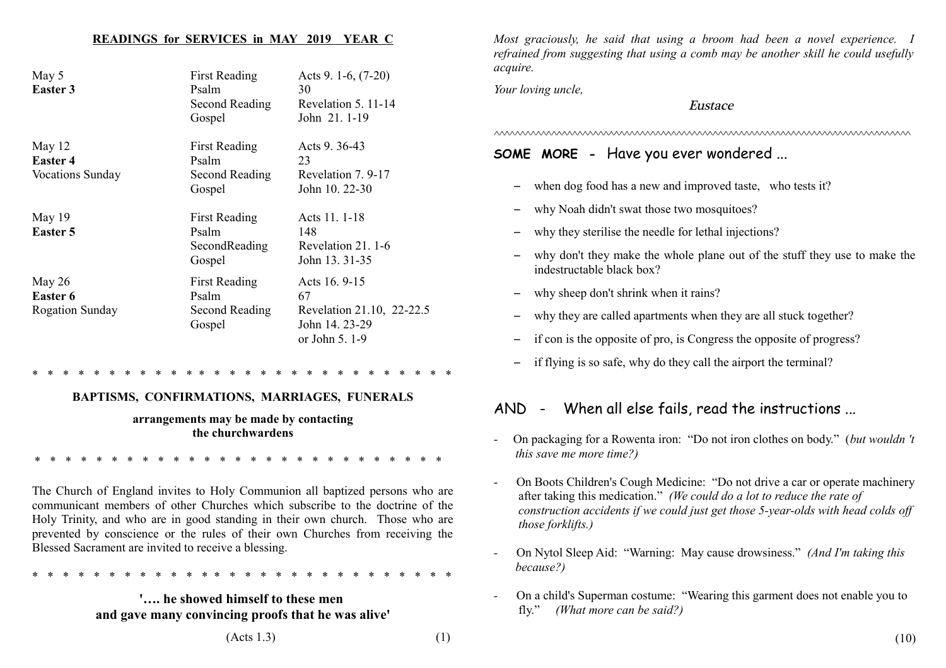#### **READINGS for SERVICES in MAY 2019 YEAR C**

| May 5<br><b>Easter 3</b>                               | <b>First Reading</b><br>Psalm<br>Second Reading<br>Gospel | Acts 9. 1-6, $(7-20)$<br>30<br>Revelation 5, 11-14<br>John 21.1-19                 |
|--------------------------------------------------------|-----------------------------------------------------------|------------------------------------------------------------------------------------|
| May $12$<br><b>Easter 4</b><br><b>Vocations Sunday</b> | <b>First Reading</b><br>Psalm<br>Second Reading<br>Gospel | Acts 9.36-43<br>23<br>Revelation 7.9-17<br>John 10, 22-30                          |
| May 19<br>Easter 5                                     | <b>First Reading</b><br>Psalm<br>SecondReading<br>Gospel  | Acts 11. 1-18<br>148<br>Revelation 21, 1-6<br>John 13.31-35                        |
| May 26<br><b>Easter 6</b><br><b>Rogation Sunday</b>    | <b>First Reading</b><br>Psalm<br>Second Reading<br>Gospel | Acts 16.9-15<br>67<br>Revelation 21.10, 22-22.5<br>John 14, 23-29<br>or John 5.1-9 |

\* \* \* \* \* \* \* \* \* \* \* \* \* \* \* \* \* \* \* \* \* \* \* \* \* \* \* \*

#### **BAPTISMS, CONFIRMATIONS, MARRIAGES, FUNERALS**

#### **arrangements may be made by contacting the churchwardens**

\* \* \* \* \* \* \* \* \* \* \* \* \* \* \* \* \* \* \* \* \* \* \* \* \* \* \*

The Church of England invites to Holy Communion all baptized persons who are communicant members of other Churches which subscribe to the doctrine of the Holy Trinity, and who are in good standing in their own church. Those who are prevented by conscience or the rules of their own Churches from receiving the Blessed Sacrament are invited to receive a blessing.

\* \* \* \* \* \* \* \* \* \* \* \* \* \* \* \* \* \* \* \* \* \* \* \* \* \* \* \*

#### **'…. he showed himself to these men and gave many convincing proofs that he was alive'**

*Most graciously, he said that using a broom had been a novel experience. I refrained from suggesting that using a comb may be another skill he could usefully acquire.*

*Your loving uncle,*

#### Eustace

*^^^^^^^^^^^^^^^^^^^^^^^^^^^^^^^^^^^^^^^^^^^^^^^^^^^^^^^^^^^^^^^^^^^^^^^^^^^^^^^^*

#### **SOME MORE -** Have you ever wondered ...

- when dog food has a new and improved taste, who tests it?
- why Noah didn't swat those two mosquitoes?
- why they sterilise the needle for lethal injections?
- why don't they make the whole plane out of the stuff they use to make the indestructable black box?
- why sheep don't shrink when it rains?
- why they are called apartments when they are all stuck together?
- if con is the opposite of pro, is Congress the opposite of progress?
- if flying is so safe, why do they call the airport the terminal?

#### AND - When all else fails, read the instructions ...

- On packaging for a Rowenta iron: "Do not iron clothes on body." (*but wouldn 't this save me more time?)*
- On Boots Children's Cough Medicine: "Do not drive a car or operate machinery after taking this medication." *(We could do a lot to reduce the rate of construction accidents if we could just get those 5-year-olds with head colds off those forklifts.)*
- On Nytol Sleep Aid: "Warning: May cause drowsiness." *(And I'm taking this because?)*
- On a child's Superman costume: "Wearing this garment does not enable you to fly." *(What more can be said?)*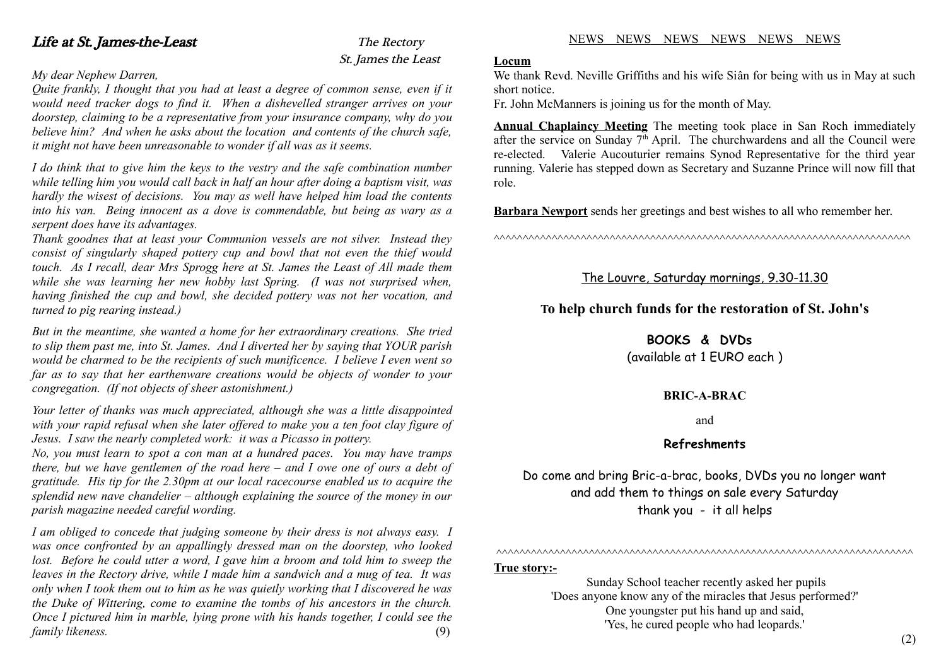## St. James the Least

#### *My dear Nephew Darren,*

*Quite frankly, I thought that you had at least a degree of common sense, even if it would need tracker dogs to find it. When a dishevelled stranger arrives on your doorstep, claiming to be a representative from your insurance company, why do you believe him? And when he asks about the location and contents of the church safe, it might not have been unreasonable to wonder if all was as it seems.*

*I do think that to give him the keys to the vestry and the safe combination number while telling him you would call back in half an hour after doing a baptism visit, was hardly the wisest of decisions. You may as well have helped him load the contents into his van. Being innocent as a dove is commendable, but being as wary as a serpent does have its advantages.*

*Thank goodnes that at least your Communion vessels are not silver. Instead they consist of singularly shaped pottery cup and bowl that not even the thief would touch. As I recall, dear Mrs Sprogg here at St. James the Least of All made them while she was learning her new hobby last Spring. (I was not surprised when, having finished the cup and bowl, she decided pottery was not her vocation, and turned to pig rearing instead.)*

*But in the meantime, she wanted a home for her extraordinary creations. She tried to slip them past me, into St. James. And I diverted her by saying that YOUR parish would be charmed to be the recipients of such munificence. I believe I even went so far as to say that her earthenware creations would be objects of wonder to your congregation. (If not objects of sheer astonishment.)*

*Your letter of thanks was much appreciated, although she was a little disappointed with your rapid refusal when she later offered to make you a ten foot clay figure of Jesus. I saw the nearly completed work: it was a Picasso in pottery.*

*No, you must learn to spot a con man at a hundred paces. You may have tramps there, but we have gentlemen of the road here – and I owe one of ours a debt of gratitude. His tip for the 2.30pm at our local racecourse enabled us to acquire the splendid new nave chandelier – although explaining the source of the money in our parish magazine needed careful wording.*

*I am obliged to concede that judging someone by their dress is not always easy. I was once confronted by an appallingly dressed man on the doorstep, who looked lost. Before he could utter a word, I gave him a broom and told him to sweep the leaves in the Rectory drive, while I made him a sandwich and a mug of tea. It was only when I took them out to him as he was quietly working that I discovered he was the Duke of Wittering, come to examine the tombs of his ancestors in the church. Once I pictured him in marble, lying prone with his hands together, I could see the family likeness.* (9)

#### **Locum**

We thank Revd. Neville Griffiths and his wife Siân for being with us in May at such short notice.

Fr. John McManners is joining us for the month of May.

**Annual Chaplaincy Meeting** The meeting took place in San Roch immediately after the service on Sunday  $7<sup>th</sup>$  April. The churchwardens and all the Council were re-elected. Valerie Aucouturier remains Synod Representative for the third year running. Valerie has stepped down as Secretary and Suzanne Prince will now fill that role.

**Barbara Newport** sends her greetings and best wishes to all who remember her.

^^^^^^^^^^^^^^^^^^^^^^^^^^^^^^^^^^^^^^^^^^^^^^^^^^^^^^^^^^^^^^^^^^^^^^^^

#### The Louvre, Saturday mornings, 9.30-11.30

#### **To help church funds for the restoration of St. John's**

#### **BOOKS & DVDs**

(available at 1 EURO each )

#### **BRIC-A-BRAC**

and

#### **Refreshments**

Do come and bring Bric-a-brac, books, DVDs you no longer want and add them to things on sale every Saturday thank you - it all helps

#### **True story:-**

 Sunday School teacher recently asked her pupils 'Does anyone know any of the miracles that Jesus performed?' One youngster put his hand up and said, 'Yes, he cured people who had leopards.'

^^^^^^^^^^^^^^^^^^^^^^^^^^^^^^^^^^^^^^^^^^^^^^^^^^^^^^^^^^^^^^^^^^^^^^^^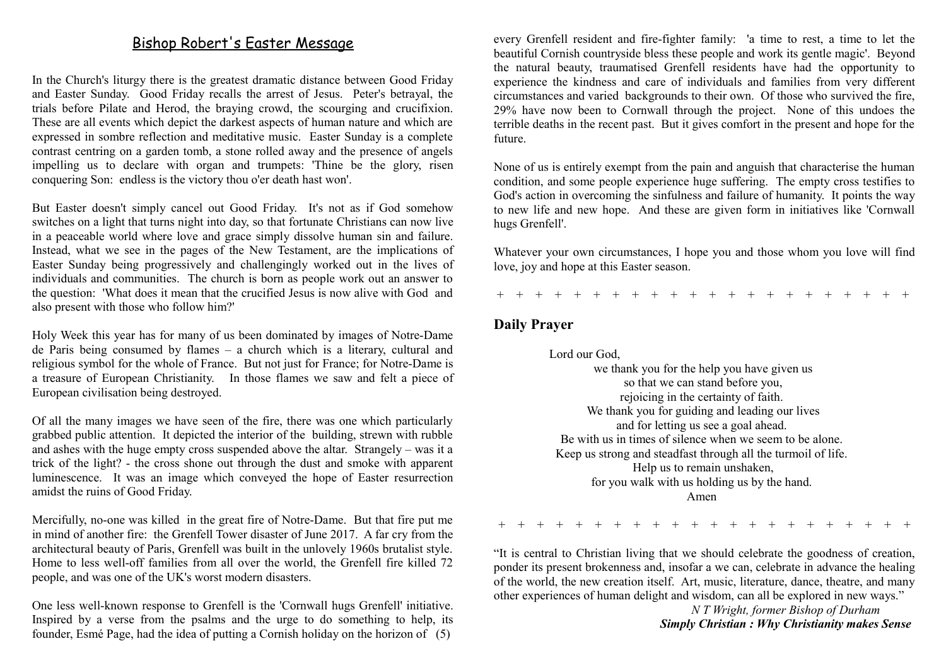#### Bishop Robert's Easter Message

In the Church's liturgy there is the greatest dramatic distance between Good Friday and Easter Sunday. Good Friday recalls the arrest of Jesus. Peter's betrayal, the trials before Pilate and Herod, the braying crowd, the scourging and crucifixion. These are all events which depict the darkest aspects of human nature and which are expressed in sombre reflection and meditative music. Easter Sunday is a complete contrast centring on a garden tomb, a stone rolled away and the presence of angels impelling us to declare with organ and trumpets: 'Thine be the glory, risen conquering Son: endless is the victory thou o'er death hast won'.

But Easter doesn't simply cancel out Good Friday. It's not as if God somehow switches on a light that turns night into day, so that fortunate Christians can now live in a peaceable world where love and grace simply dissolve human sin and failure. Instead, what we see in the pages of the New Testament, are the implications of Easter Sunday being progressively and challengingly worked out in the lives of individuals and communities. The church is born as people work out an answer to the question: 'What does it mean that the crucified Jesus is now alive with God and also present with those who follow him?'

Holy Week this year has for many of us been dominated by images of Notre-Dame de Paris being consumed by flames – a church which is a literary, cultural and religious symbol for the whole of France. But not just for France; for Notre-Dame is a treasure of European Christianity. In those flames we saw and felt a piece of European civilisation being destroyed.

Of all the many images we have seen of the fire, there was one which particularly grabbed public attention. It depicted the interior of the building, strewn with rubble and ashes with the huge empty cross suspended above the altar. Strangely – was it a trick of the light? - the cross shone out through the dust and smoke with apparent luminescence. It was an image which conveyed the hope of Easter resurrection amidst the ruins of Good Friday.

Mercifully, no-one was killed in the great fire of Notre-Dame. But that fire put me in mind of another fire: the Grenfell Tower disaster of June 2017. A far cry from the architectural beauty of Paris, Grenfell was built in the unlovely 1960s brutalist style. Home to less well-off families from all over the world, the Grenfell fire killed 72 people, and was one of the UK's worst modern disasters.

One less well-known response to Grenfell is the 'Cornwall hugs Grenfell' initiative. Inspired by a verse from the psalms and the urge to do something to help, its founder, Esmé Page, had the idea of putting a Cornish holiday on the horizon of (5)

every Grenfell resident and fire-fighter family: 'a time to rest, a time to let the beautiful Cornish countryside bless these people and work its gentle magic'. Beyond the natural beauty, traumatised Grenfell residents have had the opportunity to experience the kindness and care of individuals and families from very different circumstances and varied backgrounds to their own. Of those who survived the fire, 29% have now been to Cornwall through the project. None of this undoes the terrible deaths in the recent past. But it gives comfort in the present and hope for the future.

None of us is entirely exempt from the pain and anguish that characterise the human condition, and some people experience huge suffering. The empty cross testifies to God's action in overcoming the sinfulness and failure of humanity. It points the way to new life and new hope. And these are given form in initiatives like 'Cornwall hugs Grenfell'.

Whatever your own circumstances, I hope you and those whom you love will find love, joy and hope at this Easter season.

+ + + + + + + + + + + + + + + + + + + + + +

#### **Daily Prayer**

 Lord our God, we thank you for the help you have given us so that we can stand before you, rejoicing in the certainty of faith. We thank you for guiding and leading our lives and for letting us see a goal ahead. Be with us in times of silence when we seem to be alone. Keep us strong and steadfast through all the turmoil of life. Help us to remain unshaken, for you walk with us holding us by the hand. Amen

+ + + + + + + + + + + + + + + + + + + + + +

"It is central to Christian living that we should celebrate the goodness of creation, ponder its present brokenness and, insofar a we can, celebrate in advance the healing of the world, the new creation itself. Art, music, literature, dance, theatre, and many other experiences of human delight and wisdom, can all be explored in new ways."

> *N T Wright, former Bishop of Durham Simply Christian : Why Christianity makes Sense*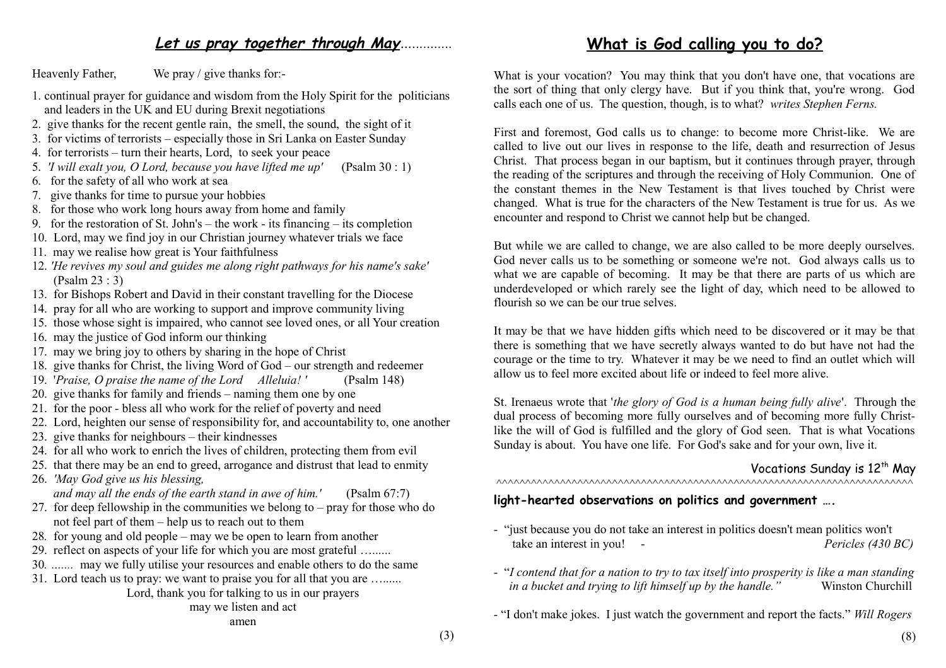#### Let us pray together through May<sub>*...</sub>*</sub>

Heavenly Father, We pray / give thanks for:-

- 1. continual prayer for guidance and wisdom from the Holy Spirit for the politicians and leaders in the UK and EU during Brexit negotiations
- 2. give thanks for the recent gentle rain, the smell, the sound, the sight of it
- 3. for victims of terrorists especially those in Sri Lanka on Easter Sunday
- 4. for terrorists turn their hearts, Lord, to seek your peace
- 5. *'I will exalt you, O Lord, because you have lifted me up'* (Psalm 30 : 1)
- 6. for the safety of all who work at sea
- 7. give thanks for time to pursue your hobbies
- 8. for those who work long hours away from home and family
- 9. for the restoration of St. John's the work its financing its completion
- 10. Lord, may we find joy in our Christian journey whatever trials we face
- 11. may we realise how great is Your faithfulness
- 12. *'He revives my soul and guides me along right pathways for his name's sake'* (Psalm 23 : 3)
- 13. for Bishops Robert and David in their constant travelling for the Diocese
- 14. pray for all who are working to support and improve community living
- 15. those whose sight is impaired, who cannot see loved ones, or all Your creation
- 16. may the justice of God inform our thinking
- 17. may we bring joy to others by sharing in the hope of Christ
- 18. give thanks for Christ, the living Word of God our strength and redeemer
- 19. '*Praise, O praise the name of the Lord Alleluia! '* (Psalm 148)
- 20. give thanks for family and friends naming them one by one
- 21. for the poor bless all who work for the relief of poverty and need
- 22. Lord, heighten our sense of responsibility for, and accountability to, one another
- 23. give thanks for neighbours their kindnesses
- 24.for all who work to enrich the lives of children, protecting them from evil
- 25. that there may be an end to greed, arrogance and distrust that lead to enmity
- 26. *'May God give us his blessing, and may all the ends of the earth stand in awe of him.'* (Psalm 67:7)
- 27. for deep fellowship in the communities we belong to pray for those who do not feel part of them – help us to reach out to them
- 28*.* for young and old people may we be open to learn from another
- 29. reflect on aspects of your life for which you are most grateful …......
- 30*. …....* may we fully utilise your resources and enable others to do the same
- 31. Lord teach us to pray: we want to praise you for all that you are …......

#### Lord, thank you for talking to us in our prayers may we listen and act

What is your vocation? You may think that you don't have one, that vocations are the sort of thing that only clergy have. But if you think that, you're wrong. God calls each one of us. The question, though, is to what? *writes Stephen Ferns.*

First and foremost, God calls us to change: to become more Christ-like. We are called to live out our lives in response to the life, death and resurrection of Jesus Christ. That process began in our baptism, but it continues through prayer, through the reading of the scriptures and through the receiving of Holy Communion. One of the constant themes in the New Testament is that lives touched by Christ were changed. What is true for the characters of the New Testament is true for us. As we encounter and respond to Christ we cannot help but be changed.

But while we are called to change, we are also called to be more deeply ourselves. God never calls us to be something or someone we're not. God always calls us to what we are capable of becoming. It may be that there are parts of us which are underdeveloped or which rarely see the light of day, which need to be allowed to flourish so we can be our true selves.

It may be that we have hidden gifts which need to be discovered or it may be that there is something that we have secretly always wanted to do but have not had the courage or the time to try. Whatever it may be we need to find an outlet which will allow us to feel more excited about life or indeed to feel more alive.

St. Irenaeus wrote that '*the glory of God is a human being fully alive*'. Through the dual process of becoming more fully ourselves and of becoming more fully Christlike the will of God is fulfilled and the glory of God seen. That is what Vocations Sunday is about. You have one life. For God's sake and for your own, live it.

#### Vocations Sunday is 12<sup>th</sup> May ^^^^^^^^^^^^^^^^^^^^^^^^^^^^^^^^^^^^^^^^^^^^^^^^^^^^^^^^^^^^^^^^^^^^^^^^

#### **light-hearted observations on politics and government ….**

- "just because you do not take an interest in politics doesn't mean politics won't take an interest in you! - *Pericles (430 BC)*
- "*I contend that for a nation to try to tax itself into prosperity is like a man standing in a bucket and trying to lift himself up by the handle.*" Winston Churchill
- "I don't make jokes. I just watch the government and report the facts." *Will Rogers*

#### **What is God calling you to do?**